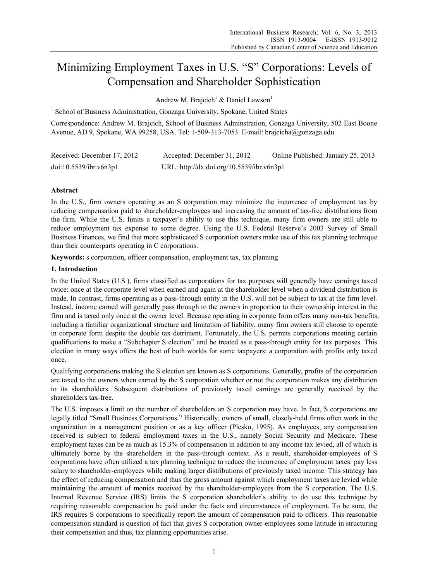# Minimizing Employment Taxes in U.S. "S" Corporations: Levels of Compensation and Shareholder Sophistication

Andrew M. Brajcich<sup>1</sup> & Daniel Lawson<sup>1</sup>

<sup>1</sup> School of Business Administration, Gonzaga University, Spokane, United States

Correspondence: Andrew M. Brajcich, School of Business Adminstration, Gonzaga University, 502 East Boone Avenue, AD 9, Spokane, WA 99258, USA. Tel: 1-509-313-7053. E-mail: brajcicha@gonzaga.edu

| Received: December 17, 2012 | Accepted: December 31, 2012               | Online Published: January 25, 2013 |
|-----------------------------|-------------------------------------------|------------------------------------|
| doi:10.5539/ibr.v6n3p1      | URL: http://dx.doi.org/10.5539/ibr.v6n3p1 |                                    |

# **Abstract**

In the U.S., firm owners operating as an S corporation may minimize the incurrence of employment tax by reducing compensation paid to shareholder-employees and increasing the amount of tax-free distributions from the firm. While the U.S. limits a taxpayer's ability to use this technique, many firm owners are still able to reduce employment tax expense to some degree. Using the U.S. Federal Reserve's 2003 Survey of Small Business Finances, we find that more sophisticated S corporation owners make use of this tax planning technique than their counterparts operating in C corporations.

**Keywords:** s corporation, officer compensation, employment tax, tax planning

## **1. Introduction**

In the United States (U.S.), firms classified as corporations for tax purposes will generally have earnings taxed twice: once at the corporate level when earned and again at the shareholder level when a dividend distribution is made. In contrast, firms operating as a pass-through entity in the U.S. will not be subject to tax at the firm level. Instead, income earned will generally pass through to the owners in proportion to their ownership interest in the firm and is taxed only once at the owner level. Because operating in corporate form offers many non-tax benefits, including a familiar organizational structure and limitation of liability, many firm owners still choose to operate in corporate form despite the double tax detriment. Fortunately, the U.S. permits corporations meeting certain qualifications to make a "Subchapter S election" and be treated as a pass-through entity for tax purposes. This election in many ways offers the best of both worlds for some taxpayers: a corporation with profits only taxed once.

Qualifying corporations making the S election are known as S corporations. Generally, profits of the corporation are taxed to the owners when earned by the S corporation whether or not the corporation makes any distribution to its shareholders. Subsequent distributions of previously taxed earnings are generally received by the shareholders tax-free.

The U.S. imposes a limit on the number of shareholders an S corporation may have. In fact, S corporations are legally titled "Small Business Corporations." Historically, owners of small, closely-held firms often work in the organization in a management position or as a key officer (Plesko, 1995). As employees, any compensation received is subject to federal employment taxes in the U.S., namely Social Security and Medicare. These employment taxes can be as much as 15.3% of compensation in addition to any income tax levied, all of which is ultimately borne by the shareholders in the pass-through context. As a result, shareholder-employees of S corporations have often utilized a tax planning technique to reduce the incurrence of employment taxes: pay less salary to shareholder-employees while making larger distributions of previously taxed income. This strategy has the effect of reducing compensation and thus the gross amount against which employment taxes are levied while maintaining the amount of monies received by the shareholder-employees from the S corporation. The U.S. Internal Revenue Service (IRS) limits the S corporation shareholder's ability to do use this technique by requiring reasonable compensation be paid under the facts and circumstances of employment. To be sure, the IRS requires S corporations to specifically report the amount of compensation paid to officers. This reasonable compensation standard is question of fact that gives S corporation owner-employees some latitude in structuring their compensation and thus, tax planning opportunities arise.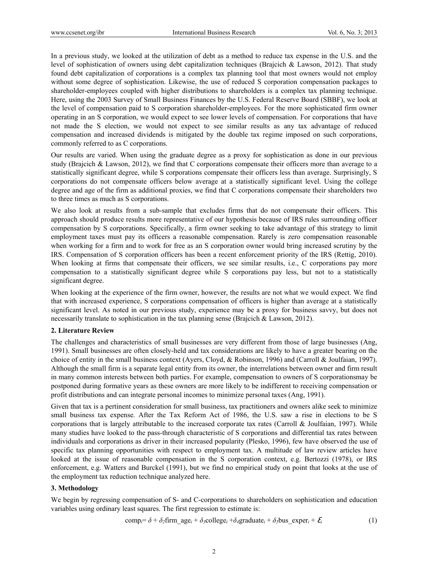In a previous study, we looked at the utilization of debt as a method to reduce tax expense in the U.S. and the level of sophistication of owners using debt capitalization techniques (Brajcich & Lawson, 2012). That study found debt capitalization of corporations is a complex tax planning tool that most owners would not employ without some degree of sophistication. Likewise, the use of reduced S corporation compensation packages to shareholder-employees coupled with higher distributions to shareholders is a complex tax planning technique. Here, using the 2003 Survey of Small Business Finances by the U.S. Federal Reserve Board (SBBF), we look at the level of compensation paid to S corporation shareholder-employees. For the more sophisticated firm owner operating in an S corporation, we would expect to see lower levels of compensation. For corporations that have not made the S election, we would not expect to see similar results as any tax advantage of reduced compensation and increased dividends is mitigated by the double tax regime imposed on such corporations, commonly referred to as C corporations.

Our results are varied. When using the graduate degree as a proxy for sophistication as done in our previous study (Brajcich & Lawson, 2012), we find that C corporations compensate their officers more than average to a statistically significant degree, while S corporations compensate their officers less than average. Surprisingly, S corporations do not compensate officers below average at a statistically significant level. Using the college degree and age of the firm as additional proxies, we find that C corporations compensate their shareholders two to three times as much as S corporations.

We also look at results from a sub-sample that excludes firms that do not compensate their officers. This approach should produce results more representative of our hypothesis because of IRS rules surrounding officer compensation by S corporations. Specifically, a firm owner seeking to take advantage of this strategy to limit employment taxes must pay its officers a reasonable compensation. Rarely is zero compensation reasonable when working for a firm and to work for free as an S corporation owner would bring increased scrutiny by the IRS. Compensation of S corporation officers has been a recent enforcement priority of the IRS (Rettig, 2010). When looking at firms that compensate their officers, we see similar results, i.e., C corporations pay more compensation to a statistically significant degree while S corporations pay less, but not to a statistically significant degree.

When looking at the experience of the firm owner, however, the results are not what we would expect. We find that with increased experience, S corporations compensation of officers is higher than average at a statistically significant level. As noted in our previous study, experience may be a proxy for business savvy, but does not necessarily translate to sophistication in the tax planning sense (Brajcich & Lawson, 2012).

#### **2. Literature Review**

The challenges and characteristics of small businesses are very different from those of large businesses (Ang, 1991). Small businesses are often closely-held and tax considerations are likely to have a greater bearing on the choice of entity in the small business context (Ayers, Cloyd, & Robinson, 1996) and (Carroll & Joulfaian, 1997). Although the small firm is a separate legal entity from its owner, the interrelations between owner and firm result in many common interests between both parties. For example, compensation to owners of S corporationsmay be postponed during formative years as these owners are more likely to be indifferent to receiving compensation or profit distributions and can integrate personal incomes to minimize personal taxes (Ang, 1991).

Given that tax is a pertinent consideration for small business, tax practitioners and owners alike seek to minimize small business tax expense. After the Tax Reform Act of 1986, the U.S. saw a rise in elections to be S corporations that is largely attributable to the increased corporate tax rates (Carroll & Joulfaian, 1997). While many studies have looked to the pass-through characteristic of S corporations and differential tax rates between individuals and corporations as driver in their increased popularity (Plesko, 1996), few have observed the use of specific tax planning opportunities with respect to employment tax. A multitude of law review articles have looked at the issue of reasonable compensation in the S corporation context, e.g. Bertozzi (1978), or IRS enforcement, e.g. Watters and Burckel (1991), but we find no empirical study on point that looks at the use of the employment tax reduction technique analyzed here.

#### **3. Methodology**

We begin by regressing compensation of S- and C-corporations to shareholders on sophistication and education variables using ordinary least squares. The first regression to estimate is:

$$
comp_i = \delta + \delta_2 firm\_age_i + \delta_3 college_i + \delta_4 graduate_i + \delta_5 bus\_exper_i + \mathcal{E}_i
$$
 (1)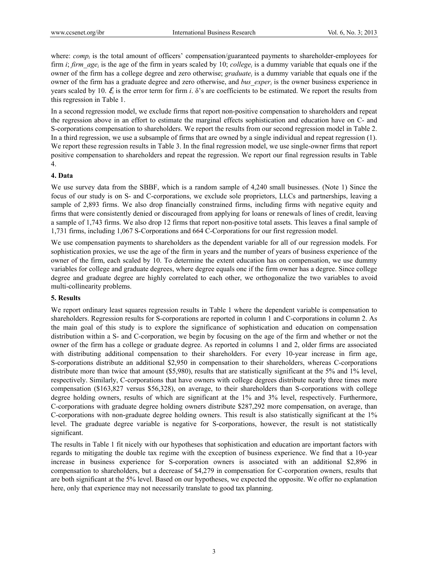where: *comp<sub>i</sub>* is the total amount of officers' compensation/guaranteed payments to shareholder-employees for firm *i*; *firm* age<sub>i</sub> is the age of the firm in years scaled by 10; *college<sub>i</sub>* is a dummy variable that equals one if the owner of the firm has a college degree and zero otherwise; *graduatei* is a dummy variable that equals one if the owner of the firm has a graduate degree and zero otherwise, and *bus\_experi* is the owner business experience in years scaled by 10.  $\mathcal{E}_i$  is the error term for firm *i*.  $\delta$ 's are coefficients to be estimated. We report the results from this regression in Table 1.

In a second regression model, we exclude firms that report non-positive compensation to shareholders and repeat the regression above in an effort to estimate the marginal effects sophistication and education have on C- and S-corporations compensation to shareholders. We report the results from our second regression model in Table 2. In a third regression, we use a subsample of firms that are owned by a single individual and repeat regression (1). We report these regression results in Table 3. In the final regression model, we use single-owner firms that report positive compensation to shareholders and repeat the regression. We report our final regression results in Table 4.

#### **4. Data**

We use survey data from the SBBF, which is a random sample of 4,240 small businesses. (Note 1) Since the focus of our study is on S- and C-corporations, we exclude sole proprietors, LLCs and partnerships, leaving a sample of 2,893 firms. We also drop financially constrained firms, including firms with negative equity and firms that were consistently denied or discouraged from applying for loans or renewals of lines of credit, leaving a sample of 1,743 firms. We also drop 12 firms that report non-positive total assets. This leaves a final sample of 1,731 firms, including 1,067 S-Corporations and 664 C-Corporations for our first regression model.

We use compensation payments to shareholders as the dependent variable for all of our regression models. For sophistication proxies, we use the age of the firm in years and the number of years of business experience of the owner of the firm, each scaled by 10. To determine the extent education has on compensation, we use dummy variables for college and graduate degrees, where degree equals one if the firm owner has a degree. Since college degree and graduate degree are highly correlated to each other, we orthogonalize the two variables to avoid multi-collinearity problems.

### **5. Results**

We report ordinary least squares regression results in Table 1 where the dependent variable is compensation to shareholders. Regression results for S-corporations are reported in column 1 and C-corporations in column 2. As the main goal of this study is to explore the significance of sophistication and education on compensation distribution within a S- and C-corporation, we begin by focusing on the age of the firm and whether or not the owner of the firm has a college or graduate degree. As reported in columns 1 and 2, older firms are associated with distributing additional compensation to their shareholders. For every 10-year increase in firm age, S-corporations distribute an additional \$2,950 in compensation to their shareholders, whereas C-corporations distribute more than twice that amount (\$5,980), results that are statistically significant at the 5% and 1% level, respectively. Similarly, C-corporations that have owners with college degrees distribute nearly three times more compensation (\$163,827 versus \$56,328), on average, to their shareholders than S-corporations with college degree holding owners, results of which are significant at the 1% and 3% level, respectively. Furthermore, C-corporations with graduate degree holding owners distribute \$287,292 more compensation, on average, than C-corporations with non-graduate degree holding owners. This result is also statistically significant at the 1% level. The graduate degree variable is negative for S-corporations, however, the result is not statistically significant.

The results in Table 1 fit nicely with our hypotheses that sophistication and education are important factors with regards to mitigating the double tax regime with the exception of business experience. We find that a 10-year increase in business experience for S-corporation owners is associated with an additional \$2,896 in compensation to shareholders, but a decrease of \$4,279 in compensation for C-corporation owners, results that are both significant at the 5% level. Based on our hypotheses, we expected the opposite. We offer no explanation here, only that experience may not necessarily translate to good tax planning.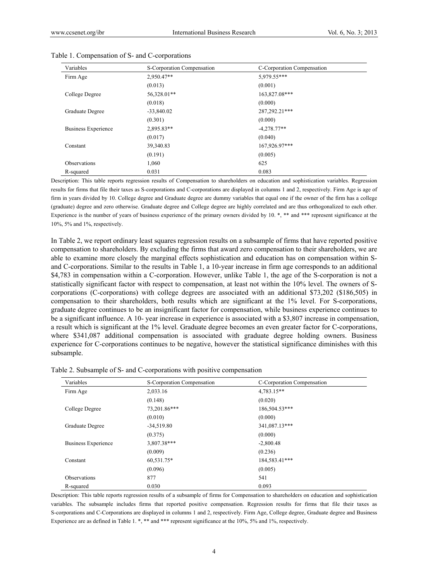| Variables           | S-Corporation Compensation | C-Corporation Compensation |
|---------------------|----------------------------|----------------------------|
| Firm Age            | 2.950.47**                 | 5,979.55***                |
|                     | (0.013)                    | (0.001)                    |
| College Degree      | 56,328.01**                | 163,827.08***              |
|                     | (0.018)                    | (0.000)                    |
| Graduate Degree     | $-33,840.02$               | 287, 292, 21***            |
|                     | (0.301)                    | (0.000)                    |
| Business Experience | 2,895.83**                 | $-4,278.77**$              |
|                     | (0.017)                    | (0.040)                    |
| Constant            | 39,340.83                  | 167,926.97***              |
|                     | (0.191)                    | (0.005)                    |
| Observations        | 1,060                      | 625                        |
| R-squared           | 0.031                      | 0.083                      |

| Table 1. Compensation of S- and C-corporations |  |  |  |  |  |
|------------------------------------------------|--|--|--|--|--|
|------------------------------------------------|--|--|--|--|--|

Description: This table reports regression results of Compensation to shareholders on education and sophistication variables. Regression results for firms that file their taxes as S-corporations and C-corporations are displayed in columns 1 and 2, respectively. Firm Age is age of firm in years divided by 10. College degree and Graduate degree are dummy variables that equal one if the owner of the firm has a college (graduate) degree and zero otherwise. Graduate degree and College degree are highly correlated and are thus orthogonalized to each other. Experience is the number of years of business experience of the primary owners divided by 10. \*, \*\* and \*\*\* represent significance at the 10%, 5% and 1%, respectively.

In Table 2, we report ordinary least squares regression results on a subsample of firms that have reported positive compensation to shareholders. By excluding the firms that award zero compensation to their shareholders, we are able to examine more closely the marginal effects sophistication and education has on compensation within Sand C-corporations. Similar to the results in Table 1, a 10-year increase in firm age corresponds to an additional \$4,783 in compensation within a C-corporation. However, unlike Table 1, the age of the S-corporation is not a statistically significant factor with respect to compensation, at least not within the 10% level. The owners of Scorporations (C-corporations) with college degrees are associated with an additional \$73,202 (\$186,505) in compensation to their shareholders, both results which are significant at the 1% level. For S-corporations, graduate degree continues to be an insignificant factor for compensation, while business experience continues to be a significant influence. A 10- year increase in experience is associated with a \$3,807 increase in compensation, a result which is significant at the 1% level. Graduate degree becomes an even greater factor for C-corporations, where \$341,087 additional compensation is associated with graduate degree holding owners. Business experience for C-corporations continues to be negative, however the statistical significance diminishes with this subsample.

| Variables           | S-Corporation Compensation | C-Corporation Compensation |
|---------------------|----------------------------|----------------------------|
| Firm Age            | 2,033.16                   | $4,783.15**$               |
|                     | (0.148)                    | (0.020)                    |
| College Degree      | 73,201.86***               | 186,504.53***              |
|                     | (0.010)                    | (0.000)                    |
| Graduate Degree     | $-34,519.80$               | 341.087.13***              |
|                     | (0.375)                    | (0.000)                    |
| Business Experience | 3,807.38***                | $-2,800.48$                |
|                     | (0.009)                    | (0.236)                    |
| Constant            | 60,531.75*                 | 184,583.41***              |
|                     | (0.096)                    | (0.005)                    |
| Observations        | 877                        | 541                        |
| R-squared           | 0.030                      | 0.093                      |

Table 2. Subsample of S- and C-corporations with positive compensation

Description: This table reports regression results of a subsample of firms for Compensation to shareholders on education and sophistication variables. The subsample includes firms that reported positive compensation. Regression results for firms that file their taxes as S-corporations and C-Corporations are displayed in columns 1 and 2, respectively. Firm Age, College degree, Graduate degree and Business Experience are as defined in Table 1. \*, \*\* and \*\*\* represent significance at the 10%, 5% and 1%, respectively.